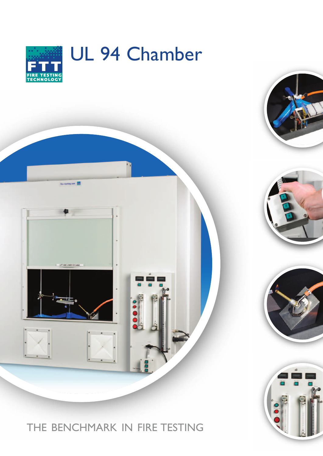

### THE BENCHMARK IN FIRE TESTING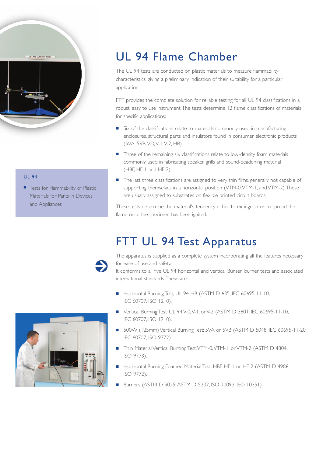

#### UL 94

■ Tests for Flammability of Plastic Materials for Parts in Devices and Appliances

# UL 94 Flame Chamber

The UL 94 tests are conducted on plastic materials to measure flammability characteristics, giving a preliminary indication of their suitability for a particular application.

FTT provides the complete solution for reliable testing for all UL 94 classifications in a robust, easy to use instrument.The tests determine 12 flame classifications of materials for specific applications:

- Six of the classifications relate to materials commonly used in manufacturing enclosures, structural parts and insulators found in consumer electronic products (5VA, 5VB,V-0,V-1,V-2, HB).
- Three of the remaining six classifications relate to low-density foam materials commonly used in fabricating speaker grills and sound-deadening material (HBF, HF-1 and HF-2).
- The last three classifications are assigned to very thin films, generally not capable of supporting themselves in a horizontal position (VTM-0, VTM-1, and VTM-2). These are usually assigned to substrates on flexible printed circuit boards.

These tests determine the material's tendency either to extinguish or to spread the flame once the specimen has been ignited.

## FTT UL 94 Test Apparatus

The apparatus is supplied as a complete system incorporating all the features necessary for ease of use and safety.

It conforms to all five UL 94 horizontal and vertical Bunsen burner tests and associated international standards.These are: -

- Horizontal Burning Test; UL 94 HB (ASTM D 635, IEC 60695-11-10, IEC 60707, ISO 1210).
- Vertical Burning Test: UL 94 V-0, V-1, or V-2 (ASTM D 3801, IEC 60695-11-10, IEC 60707, ISO 1210).
- 500W (125mm) Vertical Burning Test: 5VA or 5VB (ASTM D 5048, IEC 60695-11-20, IEC 60707, ISO 9772).
- Thin Material Vertical Burning Test: VTM-0, VTM-1, or VTM-2 (ASTM D 4804, ISO 9773).
- **■** Horizontal Burning Foamed Material Test: HBF, HF-1 or HF-2 (ASTM D 4986, ISO 9772).
- **■** Burners (ASTM D 5025,ASTM D 5207, ISO 10093, ISO 10351)

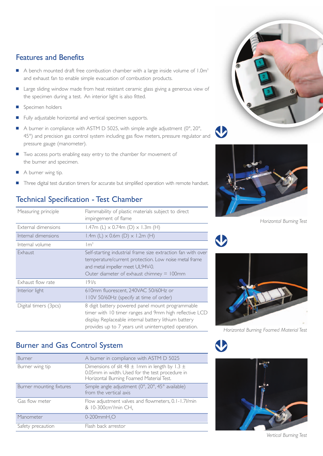#### Features and Benefits

- A bench mounted draft free combustion chamber with a large inside volume of 1.0m<sup>3</sup> and exhaust fan to enable simple evacuation of combustion products.
- Large sliding window made from heat resistant ceramic glass giving a generous view of the specimen during a test. An interior light is also fitted.
- Specimen holders
- Fully adjustable horizontal and vertical specimen supports.
- A burner in compliance with ASTM D 5025, with simple angle adjustment (0°, 20°, 45°) and precision gas control system including gas flow meters, pressure regulator and pressure gauge (manometer).
- Two access ports enabling easy entry to the chamber for movement of the burner and specimen.
- A burner wing tip.
- Three digital test duration timers for accurate but simplified operation with remote handset.

### Technical Specification - Test Chamber

| Measuring principle   | Flammability of plastic materials subject to direct<br>impingement of flame                                                                                                                                                 |
|-----------------------|-----------------------------------------------------------------------------------------------------------------------------------------------------------------------------------------------------------------------------|
| External dimensions   | 1.47m (L) $\times$ 0.74m (D) $\times$ 1.3m (H)                                                                                                                                                                              |
| Internal dimensions   | 1.4m (L) $\times$ 0.6m (D) $\times$ 1.2m (H)                                                                                                                                                                                |
| Internal volume       | $\rm{Im}^3$                                                                                                                                                                                                                 |
| Exhaust               | Self-starting industrial frame size extraction fan with over<br>temperature/current protection. Low noise metal frame<br>and metal impeller meet UL94V-0.<br>Outer diameter of exhaust chimney $= 100$ mm                   |
| Exhaust flow rate     | $19$ $1/s$                                                                                                                                                                                                                  |
| Interior light        | 610mm fluorescent, 240VAC 50/60Hz or<br>I IOV 50/60Hz (specify at time of order)                                                                                                                                            |
| Digital timers (3pcs) | 8 digit battery powered panel mount programmable<br>timer with 10 timer ranges and 9mm high reflective LCD<br>display. Replaceable internal battery lithium battery<br>provides up to 7 years unit uninterrupted operation. |

#### Burner and Gas Control System

| Burner                   | A burner in compliance with ASTM D 5025                                                                                                                |
|--------------------------|--------------------------------------------------------------------------------------------------------------------------------------------------------|
| Burner wing tip          | Dimensions of slit 48 $\pm$ 1 mm in length by 1.3 $\pm$<br>0.05mm in width. Used for the test procedure in<br>Horizontal Burning Foamed Material Test. |
| Burner mounting fixtures | Simple angle adjustment (0°, 20°, 45° available)<br>from the vertical axis                                                                             |
| Gas flow meter           | Flow adjustment valves and flowmeters, 0.1-1.7/min<br>& 10-300cm <sup>3</sup> /min CH <sub>4</sub>                                                     |
| Manometer                | $0-200$ mm $H2O$                                                                                                                                       |
| Safety precaution        | Flash back arrestor                                                                                                                                    |





*Horizontal Burning Test*



*Horizontal Burning Foamed Material Test*



*Vertical Burning Test*